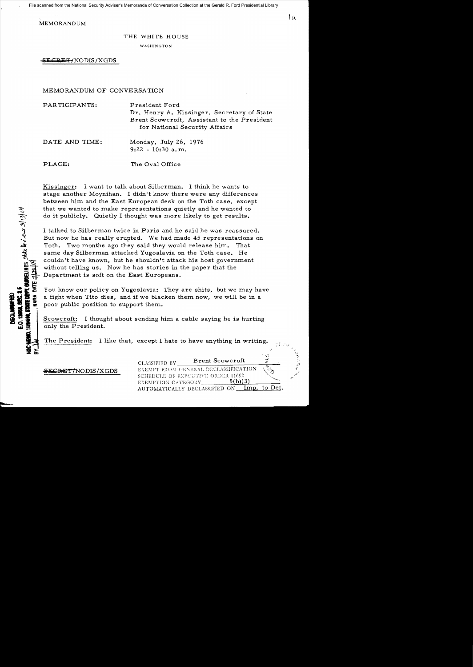File scanned from the National Security Adviser's Memoranda of Conversation Collection at the Gerald R. Ford Presidential Library

MEMORANDUM

## THE WHITE HOUSE

WASHINGTON

**ilk**C;Q IiW T {NODIS *IX* GDS

MEMORANDUM OF CONVERSATION

| PARTICIPANTS:  | President Ford<br>Dr. Henry A. Kissinger, Secretary of State<br>Brent Scowcroft, Assistant to the President<br>for National Security Affairs |
|----------------|----------------------------------------------------------------------------------------------------------------------------------------------|
| DATE AND TIME: | Monday, July 26, 1976<br>$9:22 - 10:30$ a.m.                                                                                                 |
| PLACE:         | The Oval Office                                                                                                                              |

Kissinger: I want to talk about Silberman. I think he wants to stage another Moynihan. I didn't know there were any differences between him and the East European desk on the Toth case, except that we wanted to make representations quietly and he wanted to do it publicly. Quietly I thought was more likely to get results.

I talked to Silberman twice in Paris and he said he was reassured. But now he has really erupted. We had made 45 representations on Toth. Two months ago they said they would release him. That same day Silberman attacked Yugoslavia on the Toth case. He couldn't have known, but he shouldn't attack his host government without telling us. Now he has stories in the paper that the Department is soft on the East Europeans.

You know our policy on Yugoslavia: They are shits, but we may have a fight when Tito dies, and if we blacken them now, we will be in a poor public position to support them.

Scowcroft: I thought about sending him a cable saying he is hurting only the President.

The President: I like that, except I hate to have anything in writing.

**SECRET/NODIS/XGDS** 

CLASSIFIED BY Brent Scowcroft EXEMPT FROM GENERAL DECLASSIFICATION SCHEDULE OF EXP.CUTIVE ORDER 11652 EXEMPTION CATEGORY  $5(b)(3)$ AUTOMATICALLY DECLASSIFIED ON Imp. to Det.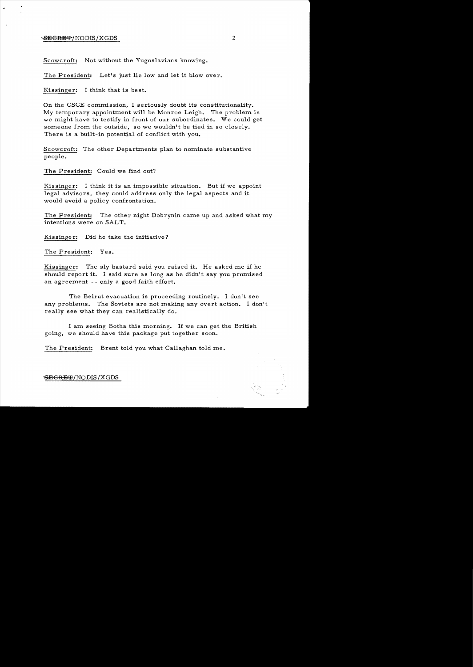### **BEGRET/NODIS/XGDS** 2

Scowcroft: Not without the Yugoslavians knowing.

The President: Let's just lie low and let it blow over.

Kissinger: I think that is best.

On the CSCE commission, I seriously doubt its constitutionality. My temporary appointment will be Monroe Leigh. The problem is we might have to testify in front of our subordinates. We could get someone from the outside, so we wouldn't be tied in so closely. There is a built-in potential of conflict with you.

Scowcroft: The other Departments plan to nominate substantive people.

The President: Could we find out?

Kis singer: I think it is an impossible situation. But if we appoint legal advisors, they could address only the legal aspects and it would avoid a policy confrontation.

The President: The other night Dobrynin came up and asked what my intentions were on SALT.

Kissinger: Did he take the initiative?

The President: Yes.

Kissinger: The sly bastard said you raised it. He asked me if he should report it. I said sure as long as he didn't say you promised an agreement -- only a good faith effort.

The Beirut evacuation is proceeding routinely. I don't see any problems. The Soviets are not making any overt action. I don't really see what they can realistically do.

I am seeing Botha this morning. 1£ we can get the British going, we should have this package put together soon.

The President: Brent told you what Callaghan told me.

 $S\!\!E\!\!S\!\!R\!\!E\!\!F\!\!P/NODIS/XGDS$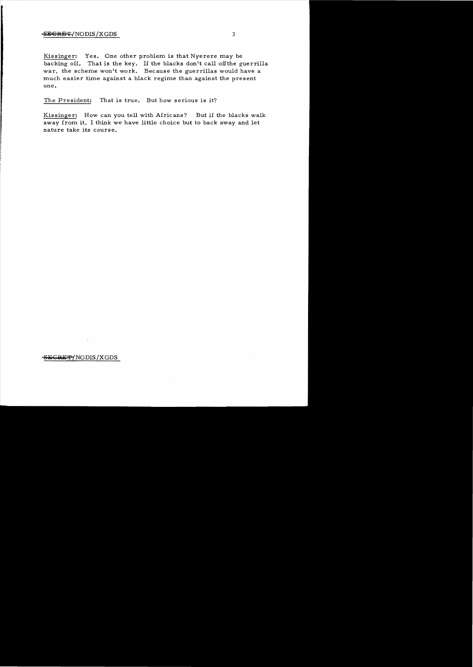## SECRET/NODIS/XGDS 3

Kissinger: Yes. One other problem is that Nyerere may be backing off. That is the key. If the blacks don't call off the guerrilla war, the scheme won't work. Because the guerrillas would have a much easier time against a black regime than against the present one.

The President: That is true. But how serious is it?

Kissinger: How can you tell with Africans? But if the blacks walk away from it, I think we have little choice but to back away and let nature take its course.

#### **S:i:CaE** *¥fNODIS* /XGDS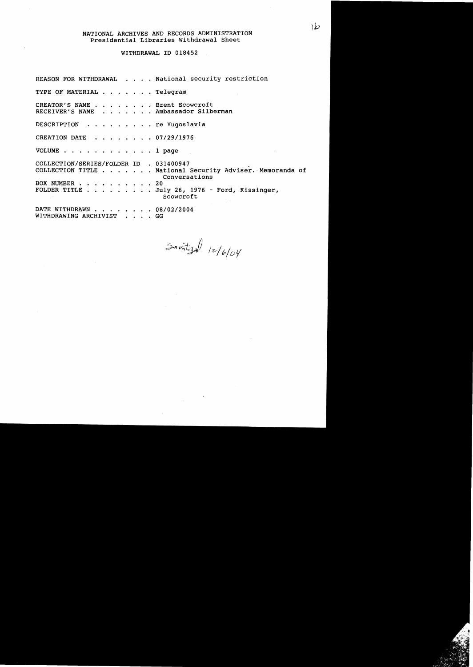# NATIONAL ARCHIVES AND RECORDS ADMINISTRATION Presidential Libraries Withdrawal Sheet

#### WITHDRAWAL ID 018452

REASON FOR WITHDRAWAL . . . . National security restriction TYPE OF MATERIAL . . . . . . Telegram CREATOR'S NAME . . . . . . . Brent Scowcroft CREATOR'S NAME . . . . . . . Brent Scowcroft<br>RECEIVER'S NAME . . . . . . . Ambassador Silberman DESCRIPTION . . . . . . . . . re Yugoslavia CREATION DATE  $\cdot \cdot \cdot \cdot \cdot \cdot 07/29/1976$ VOLUME . . . . . . . . . . . . 1 page COLLECTION/SERIES/FOLDER ID . 031400947<br>COLLECTION TITLE . . . . . . National Security Adviser. Memoranda of Conversations BOX NUMBER . . . . . . . . . 20 FOLDER TITLE  $\ldots$ , , , , , July 26, 1976 - Ford, Kissinger, Scowcroft DATE WITHDRAWN . . . . . . . 08/02/2004 WITHDRAWING ARCHIVIST . . . . GG

Santizal 12/6/04

١b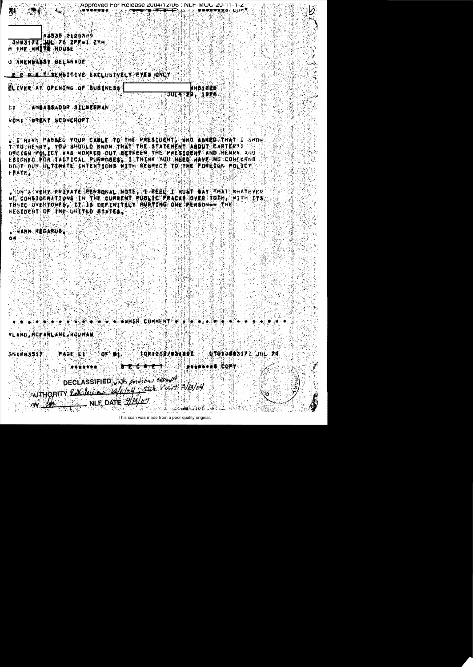#1535 2120379 3003177. WL 76 2FF+1 2XH **日 千月日 河戸工学館 河口山地区** ○○○大阿拉利哲真書意旨、日正に信付真意的 <u>ie di pila je sen</u>uttive kaolustvaly kyka (only

**ELIVER AT OPENING OF BUSINESS** 

nhotase. **JULY 29, 1976** 

Approved For Release 2004/12/06 : NLF-MUU-20-11-1-2

法网络商品赛商登日代口语美国萨斯根科商科 GT.

**EBRENT BOOWEROPT HOMA** 

(正) 网络尿菌分析菌类激素药 《所以证书》(2)黄霉化亚/5字首》半种称:网络紫毒主教德科学法公研创意,菌毒体摄像或洋种菌学;工厂高材料商 TOTO ARARY Y YOU SHOULD KNOW THAT THE STATEMENT ASDUT CARTERYS DNG 《春夜》:"P自以来电单,原画版《房口风险股高》: 口白果,最能学的是新州,学科的《记录服务学说新闻》:"两代D-《时代风险》、《时D--EBTERED. POR PLACTICAL. PURPOBER TI STHINK "MULL HERE" HAVE NI TONOGRNS" BOUT DUIL NETTHATE INTENTIONS NITH RESPECT TO THE FOREIGN FOLICY. **ERATE.** 

₫OÑſĸゔVĔŔŔĸŸŔŔĬŶĸŸĔſŔĔŔ®OŇĸĿſŀŃŎŦŔŶĿĿŀŦĔĔĔĹĿĬſĦIJŴŦĿŦĂŶſŦŀŇĔĦĹŀŔĦĂŦĔŸŖŖ he constdenations in the corrent public fracas queen toth . Hith ite "我们往我小心又把找家口包裹着,你怎么事都,也把那里的那里真心呢?我现我里面的呢?"ONE "伊伦教育你母亲用 法生理时 我后没某位的孩子们知道了某种的小身材某事和做一本地不生着事。

- 每五度回 - 只愿招点我们参言

IHSR. COMMENT W.

үі ано, нераңі ане, корман

「むてぼえい感のさるアミ」「」日に「之降」 || 口向する生意/感の生活が正し **SNIB03517** 碧森瑞乱 (能生) 计分布控制机

> **3 2 6 4 6** (参考音乐:"COP!\

DECLASSIFIED, Wh. Andious exempt UTHORITY RACIDEMENT APPLICATION 2504 NLF. DATE 1/19/07

This scan was made from a poor quality original.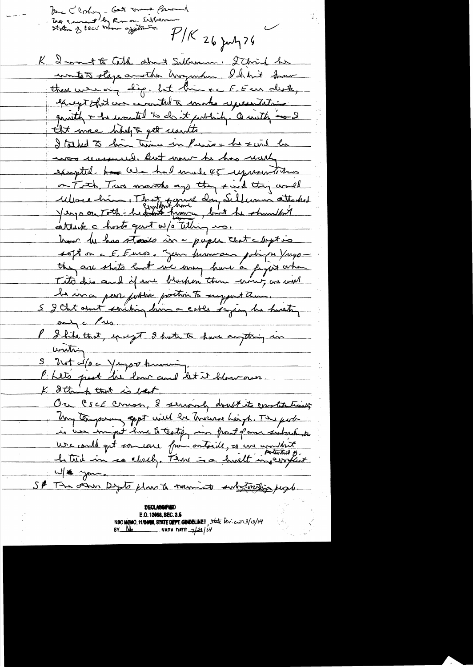Une Clorhon - Get vous formel  $P/K$  26 july 26 K 2 mont to Cold alone Sallowan. I Chris he wontests stage another horzontin Ichbrit Am there were ony lige but bin the F. E us desk, except that we wontat a make representative quantly + he would to do it publicly. Quitty me 2 tift more holy & get usunts Italed to bin time in Perio + he send he was unsured. But now he has reachy excepted has been had made 45 representatives on Toth Two movitors and they said they would More him. That some doing Sullimon attached attack a hostr gent w/s telling us. how he has stoods in a paper that chysis sept on a E. Euros. Jun furnmon polingen Vargo they are shits land wie way have a fayet artin Tito dis and if we brachen them wing an well be in a perse portive position to suggest them. 5 I that armst seniting him a cable saying he husting only a live. P & hite that, ency of I hate to have anything in uniting S Put co/o a Yugos knowing. Philippert lie lour and let it blow own. K Ithink that is best. Ou CSCE Comon, 8 serving doubt its constitutions Un temporan appt will be Theread Leigh. The pool is use immed home to teatify in front para subactions ure could get someone from outside, so une wouldn't W/ \* you. SP The other Dyste plan to numict substanting people. **DECLASSIF** E.O. 12058, SEC. 3.5

NSC NEWO, 1912000, STATE DEPT. GUIDELINES, State Dev. cur3/13/04<br>BY Report NARA DATE 7/28/04